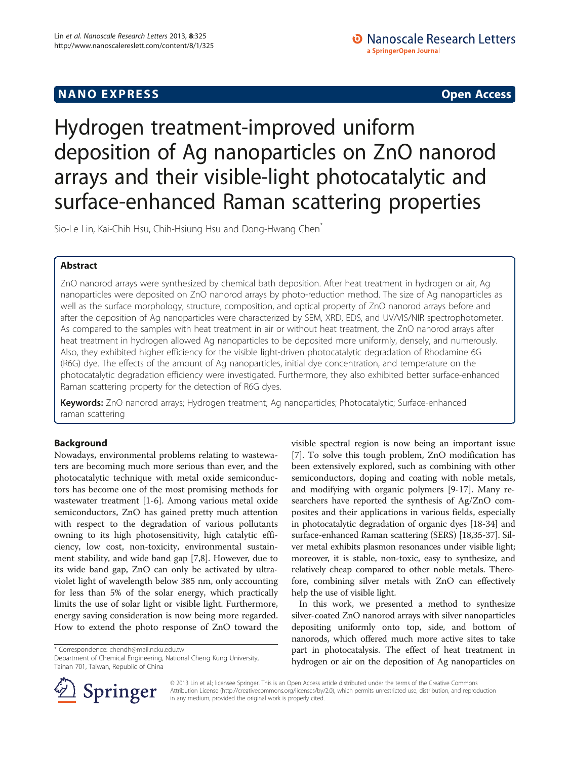## **NANO EXPRESS** Open Access and the set of the set of the set of the set of the set of the set of the set of the set of the set of the set of the set of the set of the set of the set of the set of the set of the set of the

# Hydrogen treatment-improved uniform deposition of Ag nanoparticles on ZnO nanorod arrays and their visible-light photocatalytic and surface-enhanced Raman scattering properties

Sio-Le Lin, Kai-Chih Hsu, Chih-Hsiung Hsu and Dong-Hwang Chen<sup>\*</sup>

## Abstract

ZnO nanorod arrays were synthesized by chemical bath deposition. After heat treatment in hydrogen or air, Ag nanoparticles were deposited on ZnO nanorod arrays by photo-reduction method. The size of Ag nanoparticles as well as the surface morphology, structure, composition, and optical property of ZnO nanorod arrays before and after the deposition of Ag nanoparticles were characterized by SEM, XRD, EDS, and UV/VIS/NIR spectrophotometer. As compared to the samples with heat treatment in air or without heat treatment, the ZnO nanorod arrays after heat treatment in hydrogen allowed Ag nanoparticles to be deposited more uniformly, densely, and numerously. Also, they exhibited higher efficiency for the visible light-driven photocatalytic degradation of Rhodamine 6G (R6G) dye. The effects of the amount of Ag nanoparticles, initial dye concentration, and temperature on the photocatalytic degradation efficiency were investigated. Furthermore, they also exhibited better surface-enhanced Raman scattering property for the detection of R6G dyes.

Keywords: ZnO nanorod arrays; Hydrogen treatment; Ag nanoparticles; Photocatalytic; Surface-enhanced raman scattering

## Background

Nowadays, environmental problems relating to wastewaters are becoming much more serious than ever, and the photocatalytic technique with metal oxide semiconductors has become one of the most promising methods for wastewater treatment [\[1](#page-7-0)-[6\]](#page-7-0). Among various metal oxide semiconductors, ZnO has gained pretty much attention with respect to the degradation of various pollutants owning to its high photosensitivity, high catalytic efficiency, low cost, non-toxicity, environmental sustainment stability, and wide band gap [[7](#page-7-0),[8](#page-7-0)]. However, due to its wide band gap, ZnO can only be activated by ultraviolet light of wavelength below 385 nm, only accounting for less than 5% of the solar energy, which practically limits the use of solar light or visible light. Furthermore, energy saving consideration is now being more regarded. How to extend the photo response of ZnO toward the

\* Correspondence: [chendh@mail.ncku.edu.tw](mailto:chendh@mail.ncku.edu.tw)

Department of Chemical Engineering, National Cheng Kung University, Tainan 701, Taiwan, Republic of China

visible spectral region is now being an important issue [[7\]](#page-7-0). To solve this tough problem, ZnO modification has been extensively explored, such as combining with other semiconductors, doping and coating with noble metals, and modifying with organic polymers [\[9](#page-7-0)-[17\]](#page-7-0). Many researchers have reported the synthesis of Ag/ZnO composites and their applications in various fields, especially in photocatalytic degradation of organic dyes [\[18](#page-7-0)-[34](#page-8-0)] and surface-enhanced Raman scattering (SERS) [[18](#page-7-0),[35](#page-8-0)-[37](#page-8-0)]. Silver metal exhibits plasmon resonances under visible light; moreover, it is stable, non-toxic, easy to synthesize, and relatively cheap compared to other noble metals. Therefore, combining silver metals with ZnO can effectively help the use of visible light.

In this work, we presented a method to synthesize silver-coated ZnO nanorod arrays with silver nanoparticles depositing uniformly onto top, side, and bottom of nanorods, which offered much more active sites to take part in photocatalysis. The effect of heat treatment in hydrogen or air on the deposition of Ag nanoparticles on



© 2013 Lin et al.; licensee Springer. This is an Open Access article distributed under the terms of the Creative Commons Attribution License [\(http://creativecommons.org/licenses/by/2.0\)](http://creativecommons.org/licenses/by/2.0), which permits unrestricted use, distribution, and reproduction in any medium, provided the original work is properly cited.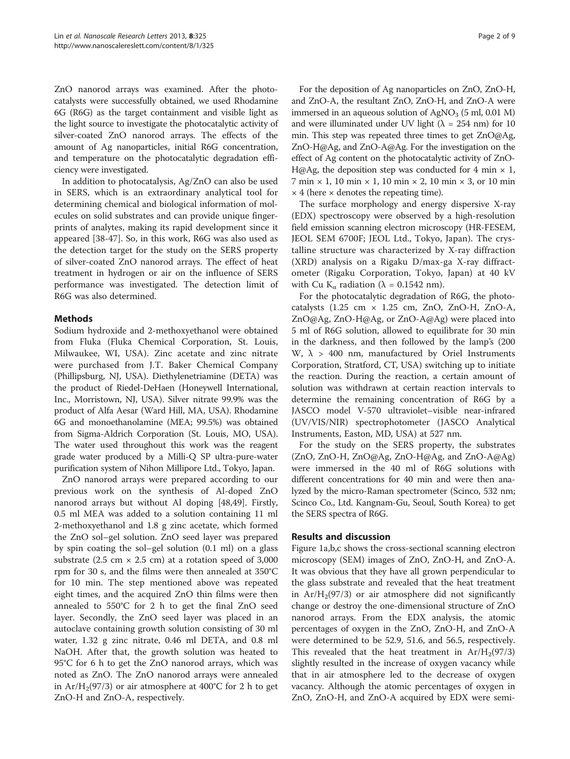ZnO nanorod arrays was examined. After the photocatalysts were successfully obtained, we used Rhodamine 6G (R6G) as the target containment and visible light as the light source to investigate the photocatalytic activity of silver-coated ZnO nanorod arrays. The effects of the amount of Ag nanoparticles, initial R6G concentration, and temperature on the photocatalytic degradation efficiency were investigated.

In addition to photocatalysis, Ag/ZnO can also be used in SERS, which is an extraordinary analytical tool for determining chemical and biological information of molecules on solid substrates and can provide unique fingerprints of analytes, making its rapid development since it appeared [[38-47](#page-8-0)]. So, in this work, R6G was also used as the detection target for the study on the SERS property of silver-coated ZnO nanorod arrays. The effect of heat treatment in hydrogen or air on the influence of SERS performance was investigated. The detection limit of R6G was also determined.

## Methods

Sodium hydroxide and 2-methoxyethanol were obtained from Fluka (Fluka Chemical Corporation, St. Louis, Milwaukee, WI, USA). Zinc acetate and zinc nitrate were purchased from J.T. Baker Chemical Company (Phillipsburg, NJ, USA). Diethylenetriamine (DETA) was the product of Riedel-DeHaen (Honeywell International, Inc., Morristown, NJ, USA). Silver nitrate 99.9% was the product of Alfa Aesar (Ward Hill, MA, USA). Rhodamine 6G and monoethanolamine (MEA; 99.5%) was obtained from Sigma-Aldrich Corporation (St. Louis, MO, USA). The water used throughout this work was the reagent grade water produced by a Milli-Q SP ultra-pure-water purification system of Nihon Millipore Ltd., Tokyo, Japan.

ZnO nanorod arrays were prepared according to our previous work on the synthesis of Al-doped ZnO nanorod arrays but without Al doping [\[48,49\]](#page-8-0). Firstly, 0.5 ml MEA was added to a solution containing 11 ml 2-methoxyethanol and 1.8 g zinc acetate, which formed the ZnO sol–gel solution. ZnO seed layer was prepared by spin coating the sol–gel solution (0.1 ml) on a glass substrate (2.5 cm  $\times$  2.5 cm) at a rotation speed of 3,000 rpm for 30 s, and the films were then annealed at 350°C for 10 min. The step mentioned above was repeated eight times, and the acquired ZnO thin films were then annealed to 550°C for 2 h to get the final ZnO seed layer. Secondly, the ZnO seed layer was placed in an autoclave containing growth solution consisting of 30 ml water, 1.32 g zinc nitrate, 0.46 ml DETA, and 0.8 ml NaOH. After that, the growth solution was heated to 95°C for 6 h to get the ZnO nanorod arrays, which was noted as ZnO. The ZnO nanorod arrays were annealed in Ar/H<sub>2</sub>(97/3) or air atmosphere at 400°C for 2 h to get ZnO-H and ZnO-A, respectively.

For the deposition of Ag nanoparticles on ZnO, ZnO-H, and ZnO-A, the resultant ZnO, ZnO-H, and ZnO-A were immersed in an aqueous solution of  $AgNO<sub>3</sub>$  (5 ml, 0.01 M) and were illuminated under UV light ( $\lambda = 254$  nm) for 10 min. This step was repeated three times to get ZnO@Ag, ZnO-H@Ag, and ZnO-A@Ag. For the investigation on the effect of Ag content on the photocatalytic activity of ZnO-H@Ag, the deposition step was conducted for 4 min  $\times$  1,  $7 \text{ min} \times 1$ , 10 min  $\times 1$ , 10 min  $\times 2$ , 10 min  $\times 3$ , or 10 min  $\times$  4 (here  $\times$  denotes the repeating time).

The surface morphology and energy dispersive X-ray (EDX) spectroscopy were observed by a high-resolution field emission scanning electron microscopy (HR-FESEM, JEOL SEM 6700F; JEOL Ltd., Tokyo, Japan). The crystalline structure was characterized by X-ray diffraction (XRD) analysis on a Rigaku D/max-ga X-ray diffractometer (Rigaku Corporation, Tokyo, Japan) at 40 kV with Cu K<sub>α</sub> radiation ( $\lambda = 0.1542$  nm).

For the photocatalytic degradation of R6G, the photocatalysts  $(1.25 \text{ cm} \times 1.25 \text{ cm}, \text{ ZnO}, \text{ ZnO-H}, \text{ ZnO-A},$ ZnO@Ag, ZnO-H@Ag, or ZnO-A@Ag) were placed into 5 ml of R6G solution, allowed to equilibrate for 30 min in the darkness, and then followed by the lamp's (200 W,  $λ$  > 400 nm, manufactured by Oriel Instruments Corporation, Stratford, CT, USA) switching up to initiate the reaction. During the reaction, a certain amount of solution was withdrawn at certain reaction intervals to determine the remaining concentration of R6G by a JASCO model V-570 ultraviolet–visible near-infrared (UV/VIS/NIR) spectrophotometer (JASCO Analytical Instruments, Easton, MD, USA) at 527 nm.

For the study on the SERS property, the substrates (ZnO, ZnO-H, ZnO@Ag, ZnO-H@Ag, and ZnO-A@Ag) were immersed in the 40 ml of R6G solutions with different concentrations for 40 min and were then analyzed by the micro-Raman spectrometer (Scinco, 532 nm; Scinco Co., Ltd. Kangnam-Gu, Seoul, South Korea) to get the SERS spectra of R6G.

### Results and discussion

Figure [1](#page-2-0)a,b,c shows the cross-sectional scanning electron microscopy (SEM) images of ZnO, ZnO-H, and ZnO-A. It was obvious that they have all grown perpendicular to the glass substrate and revealed that the heat treatment in  $Ar/H_2(97/3)$  or air atmosphere did not significantly change or destroy the one-dimensional structure of ZnO nanorod arrays. From the EDX analysis, the atomic percentages of oxygen in the ZnO, ZnO-H, and ZnO-A were determined to be 52.9, 51.6, and 56.5, respectively. This revealed that the heat treatment in  $Ar/H_2(97/3)$ slightly resulted in the increase of oxygen vacancy while that in air atmosphere led to the decrease of oxygen vacancy. Although the atomic percentages of oxygen in ZnO, ZnO-H, and ZnO-A acquired by EDX were semi-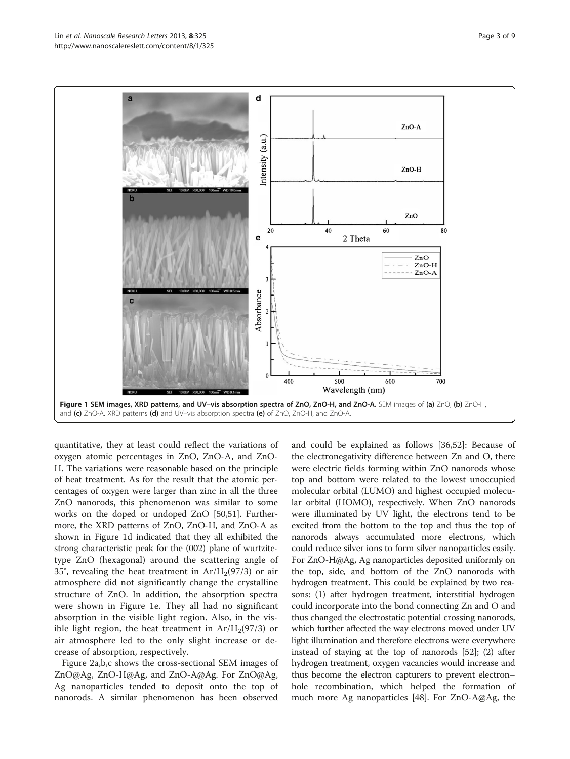<span id="page-2-0"></span>

quantitative, they at least could reflect the variations of oxygen atomic percentages in ZnO, ZnO-A, and ZnO-H. The variations were reasonable based on the principle of heat treatment. As for the result that the atomic percentages of oxygen were larger than zinc in all the three ZnO nanorods, this phenomenon was similar to some works on the doped or undoped ZnO [\[50,51](#page-8-0)]. Furthermore, the XRD patterns of ZnO, ZnO-H, and ZnO-A as shown in Figure 1d indicated that they all exhibited the strong characteristic peak for the (002) plane of wurtzitetype ZnO (hexagonal) around the scattering angle of 35°, revealing the heat treatment in  $Ar/H_2(97/3)$  or air atmosphere did not significantly change the crystalline structure of ZnO. In addition, the absorption spectra were shown in Figure 1e. They all had no significant absorption in the visible light region. Also, in the visible light region, the heat treatment in  $Ar/H_2(97/3)$  or air atmosphere led to the only slight increase or decrease of absorption, respectively.

Figure [2a](#page-3-0),b,c shows the cross-sectional SEM images of ZnO@Ag, ZnO-H@Ag, and ZnO-A@Ag. For ZnO@Ag, Ag nanoparticles tended to deposit onto the top of nanorods. A similar phenomenon has been observed

and could be explained as follows [[36,52\]](#page-8-0): Because of the electronegativity difference between Zn and O, there were electric fields forming within ZnO nanorods whose top and bottom were related to the lowest unoccupied molecular orbital (LUMO) and highest occupied molecular orbital (HOMO), respectively. When ZnO nanorods were illuminated by UV light, the electrons tend to be excited from the bottom to the top and thus the top of nanorods always accumulated more electrons, which could reduce silver ions to form silver nanoparticles easily. For ZnO-H@Ag, Ag nanoparticles deposited uniformly on the top, side, and bottom of the ZnO nanorods with hydrogen treatment. This could be explained by two reasons: (1) after hydrogen treatment, interstitial hydrogen could incorporate into the bond connecting Zn and O and thus changed the electrostatic potential crossing nanorods, which further affected the way electrons moved under UV light illumination and therefore electrons were everywhere instead of staying at the top of nanorods [[52](#page-8-0)]; (2) after hydrogen treatment, oxygen vacancies would increase and thus become the electron capturers to prevent electron– hole recombination, which helped the formation of much more Ag nanoparticles [[48](#page-8-0)]. For ZnO-A@Ag, the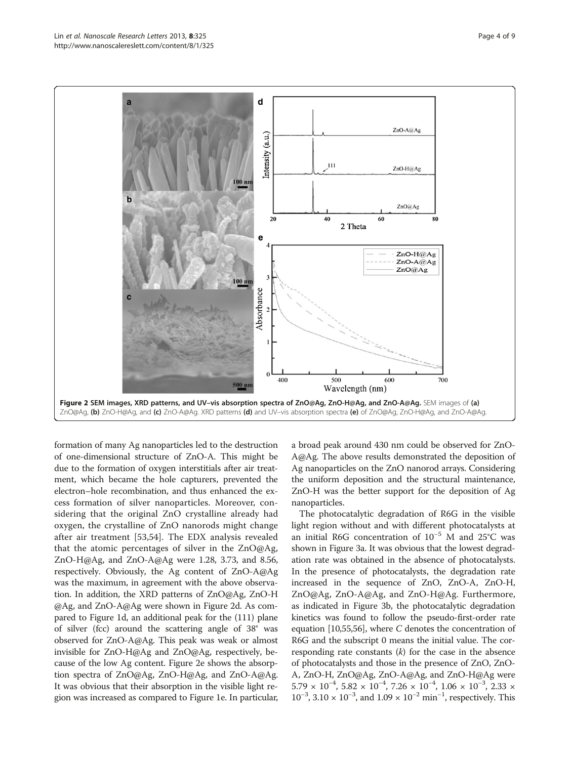<span id="page-3-0"></span>

formation of many Ag nanoparticles led to the destruction of one-dimensional structure of ZnO-A. This might be due to the formation of oxygen interstitials after air treatment, which became the hole capturers, prevented the electron–hole recombination, and thus enhanced the excess formation of silver nanoparticles. Moreover, considering that the original ZnO crystalline already had oxygen, the crystalline of ZnO nanorods might change after air treatment [\[53](#page-8-0),[54\]](#page-8-0). The EDX analysis revealed that the atomic percentages of silver in the ZnO@Ag, ZnO-H@Ag, and ZnO-A@Ag were 1.28, 3.73, and 8.56, respectively. Obviously, the Ag content of ZnO-A@Ag was the maximum, in agreement with the above observation. In addition, the XRD patterns of ZnO@Ag, ZnO-H @Ag, and ZnO-A@Ag were shown in Figure 2d. As compared to Figure [1d](#page-2-0), an additional peak for the (111) plane of silver (fcc) around the scattering angle of 38° was observed for ZnO-A@Ag. This peak was weak or almost invisible for ZnO-H@Ag and ZnO@Ag, respectively, because of the low Ag content. Figure 2e shows the absorption spectra of ZnO@Ag, ZnO-H@Ag, and ZnO-A@Ag. It was obvious that their absorption in the visible light region was increased as compared to Figure [1e](#page-2-0). In particular, a broad peak around 430 nm could be observed for ZnO-A@Ag. The above results demonstrated the deposition of Ag nanoparticles on the ZnO nanorod arrays. Considering the uniform deposition and the structural maintenance, ZnO-H was the better support for the deposition of Ag nanoparticles.

The photocatalytic degradation of R6G in the visible light region without and with different photocatalysts at an initial R6G concentration of 10−<sup>5</sup> M and 25°C was shown in Figure [3a](#page-4-0). It was obvious that the lowest degradation rate was obtained in the absence of photocatalysts. In the presence of photocatalysts, the degradation rate increased in the sequence of ZnO, ZnO-A, ZnO-H, ZnO@Ag, ZnO-A@Ag, and ZnO-H@Ag. Furthermore, as indicated in Figure [3](#page-4-0)b, the photocatalytic degradation kinetics was found to follow the pseudo-first-order rate equation  $[10,55,56]$  $[10,55,56]$  $[10,55,56]$  $[10,55,56]$ , where C denotes the concentration of R6G and the subscript 0 means the initial value. The corresponding rate constants  $(k)$  for the case in the absence of photocatalysts and those in the presence of ZnO, ZnO-A, ZnO-H, ZnO@Ag, ZnO-A@Ag, and ZnO-H@Ag were  $5.79 \times 10^{-4}$ ,  $5.82 \times 10^{-4}$ ,  $7.26 \times 10^{-4}$ ,  $1.06 \times 10^{-3}$ ,  $2.33 \times$ 10<sup>-3</sup>, 3.10 × 10<sup>-3</sup>, and 1.09 × 10<sup>-2</sup> min<sup>-1</sup>, respectively. This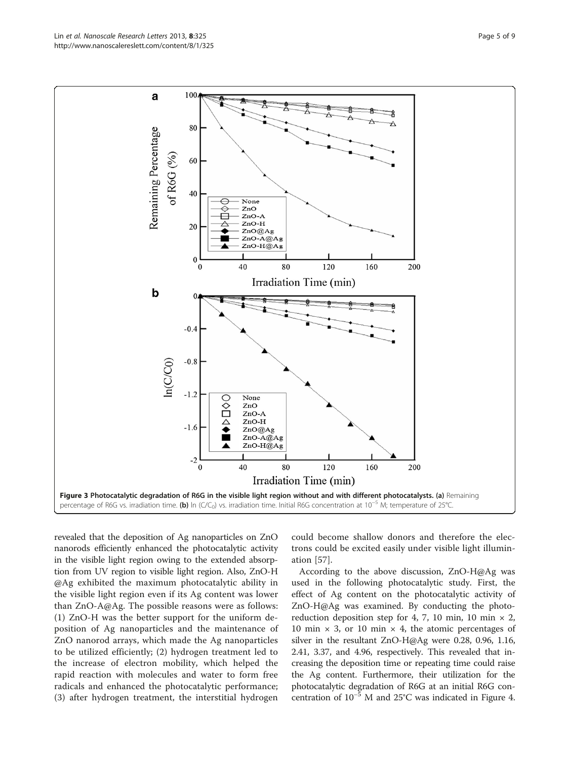<span id="page-4-0"></span>

revealed that the deposition of Ag nanoparticles on ZnO nanorods efficiently enhanced the photocatalytic activity in the visible light region owing to the extended absorption from UV region to visible light region. Also, ZnO-H @Ag exhibited the maximum photocatalytic ability in the visible light region even if its Ag content was lower than ZnO-A@Ag. The possible reasons were as follows: (1) ZnO-H was the better support for the uniform deposition of Ag nanoparticles and the maintenance of ZnO nanorod arrays, which made the Ag nanoparticles to be utilized efficiently; (2) hydrogen treatment led to the increase of electron mobility, which helped the rapid reaction with molecules and water to form free radicals and enhanced the photocatalytic performance; (3) after hydrogen treatment, the interstitial hydrogen

could become shallow donors and therefore the electrons could be excited easily under visible light illumination [[57](#page-8-0)].

According to the above discussion, ZnO-H@Ag was used in the following photocatalytic study. First, the effect of Ag content on the photocatalytic activity of ZnO-H@Ag was examined. By conducting the photoreduction deposition step for 4, 7, 10 min, 10 min  $\times$  2, 10 min  $\times$  3, or 10 min  $\times$  4, the atomic percentages of silver in the resultant ZnO-H@Ag were 0.28, 0.96, 1.16, 2.41, 3.37, and 4.96, respectively. This revealed that increasing the deposition time or repeating time could raise the Ag content. Furthermore, their utilization for the photocatalytic degradation of R6G at an initial R6G concentration of 10−<sup>5</sup> M and 25°C was indicated in Figure [4](#page-5-0).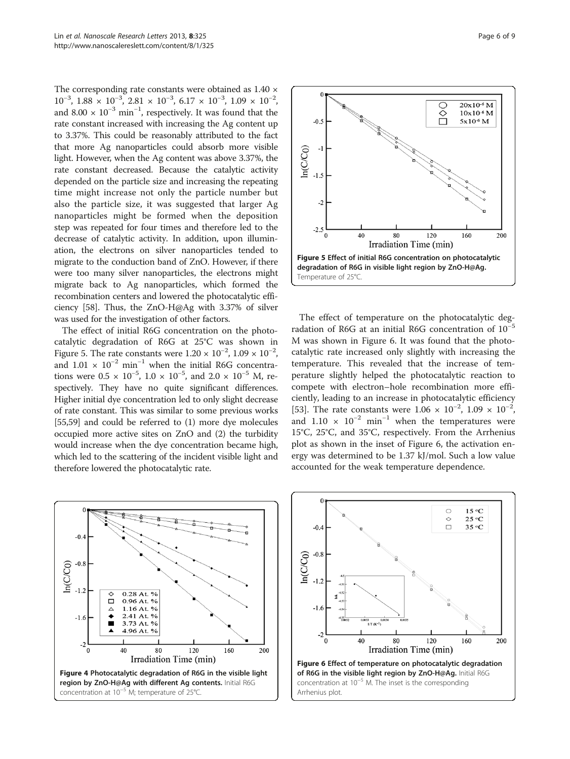<span id="page-5-0"></span>The corresponding rate constants were obtained as  $1.40 \times$  $10^{-3}$ ,  $1.88 \times 10^{-3}$ ,  $2.81 \times 10^{-3}$ ,  $6.17 \times 10^{-3}$ ,  $1.09 \times 10^{-2}$ , and  $8.00 \times 10^{-3}$  min<sup>-1</sup>, respectively. It was found that the rate constant increased with increasing the Ag content up to 3.37%. This could be reasonably attributed to the fact that more Ag nanoparticles could absorb more visible light. However, when the Ag content was above 3.37%, the rate constant decreased. Because the catalytic activity depended on the particle size and increasing the repeating time might increase not only the particle number but also the particle size, it was suggested that larger Ag nanoparticles might be formed when the deposition step was repeated for four times and therefore led to the decrease of catalytic activity. In addition, upon illumination, the electrons on silver nanoparticles tended to migrate to the conduction band of ZnO. However, if there were too many silver nanoparticles, the electrons might migrate back to Ag nanoparticles, which formed the recombination centers and lowered the photocatalytic efficiency [\[58\]](#page-8-0). Thus, the ZnO-H@Ag with 3.37% of silver was used for the investigation of other factors.

The effect of initial R6G concentration on the photocatalytic degradation of R6G at 25°C was shown in Figure 5. The rate constants were  $1.20 \times 10^{-2}$ ,  $1.09 \times 10^{-2}$ , and  $1.01 \times 10^{-2}$  min<sup>-1</sup> when the initial R6G concentrations were  $0.5 \times 10^{-5}$ ,  $1.0 \times 10^{-5}$ , and  $2.0 \times 10^{-5}$  M, respectively. They have no quite significant differences. Higher initial dye concentration led to only slight decrease of rate constant. This was similar to some previous works [[55,59](#page-8-0)] and could be referred to (1) more dye molecules occupied more active sites on ZnO and (2) the turbidity would increase when the dye concentration became high, which led to the scattering of the incident visible light and therefore lowered the photocatalytic rate.



The effect of temperature on the photocatalytic degradation of R6G at an initial R6G concentration of  $10^{-5}$ M was shown in Figure 6. It was found that the photocatalytic rate increased only slightly with increasing the temperature. This revealed that the increase of temperature slightly helped the photocatalytic reaction to compete with electron–hole recombination more efficiently, leading to an increase in photocatalytic efficiency [[53\]](#page-8-0). The rate constants were  $1.06 \times 10^{-2}$ ,  $1.09 \times 10^{-2}$ , and  $1.10 \times 10^{-2}$  min<sup>-1</sup> when the temperatures were 15°C, 25°C, and 35°C, respectively. From the Arrhenius plot as shown in the inset of Figure 6, the activation energy was determined to be 1.37 kJ/mol. Such a low value accounted for the weak temperature dependence.



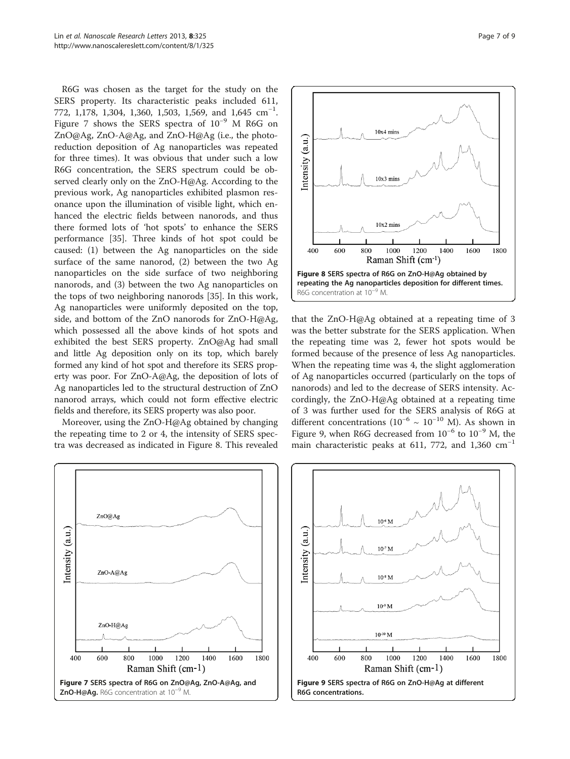R6G was chosen as the target for the study on the SERS property. Its characteristic peaks included 611, 772, 1,178, 1,304, 1,360, 1,503, 1,569, and  $1,645$   $\text{cm}^{-1}$ . Figure 7 shows the SERS spectra of 10−<sup>9</sup> M R6G on ZnO@Ag, ZnO-A@Ag, and ZnO-H@Ag (i.e., the photoreduction deposition of Ag nanoparticles was repeated for three times). It was obvious that under such a low R6G concentration, the SERS spectrum could be observed clearly only on the ZnO-H@Ag. According to the previous work, Ag nanoparticles exhibited plasmon resonance upon the illumination of visible light, which enhanced the electric fields between nanorods, and thus there formed lots of 'hot spots' to enhance the SERS performance [\[35](#page-8-0)]. Three kinds of hot spot could be caused: (1) between the Ag nanoparticles on the side surface of the same nanorod, (2) between the two Ag nanoparticles on the side surface of two neighboring nanorods, and (3) between the two Ag nanoparticles on the tops of two neighboring nanorods [\[35](#page-8-0)]. In this work, Ag nanoparticles were uniformly deposited on the top, side, and bottom of the ZnO nanorods for ZnO-H@Ag, which possessed all the above kinds of hot spots and exhibited the best SERS property. ZnO@Ag had small and little Ag deposition only on its top, which barely formed any kind of hot spot and therefore its SERS property was poor. For ZnO-A@Ag, the deposition of lots of Ag nanoparticles led to the structural destruction of ZnO nanorod arrays, which could not form effective electric fields and therefore, its SERS property was also poor.

Moreover, using the ZnO-H@Ag obtained by changing the repeating time to 2 or 4, the intensity of SERS spectra was decreased as indicated in Figure 8. This revealed





that the ZnO-H@Ag obtained at a repeating time of 3 was the better substrate for the SERS application. When the repeating time was 2, fewer hot spots would be formed because of the presence of less Ag nanoparticles. When the repeating time was 4, the slight agglomeration of Ag nanoparticles occurred (particularly on the tops of nanorods) and led to the decrease of SERS intensity. Accordingly, the ZnO-H@Ag obtained at a repeating time of 3 was further used for the SERS analysis of R6G at different concentrations ( $10^{-6}$  ~  $10^{-10}$  M). As shown in Figure 9, when R6G decreased from  $10^{-6}$  to  $10^{-9}$  M, the main characteristic peaks at 611, 772, and 1,360  $cm^{-1}$ 

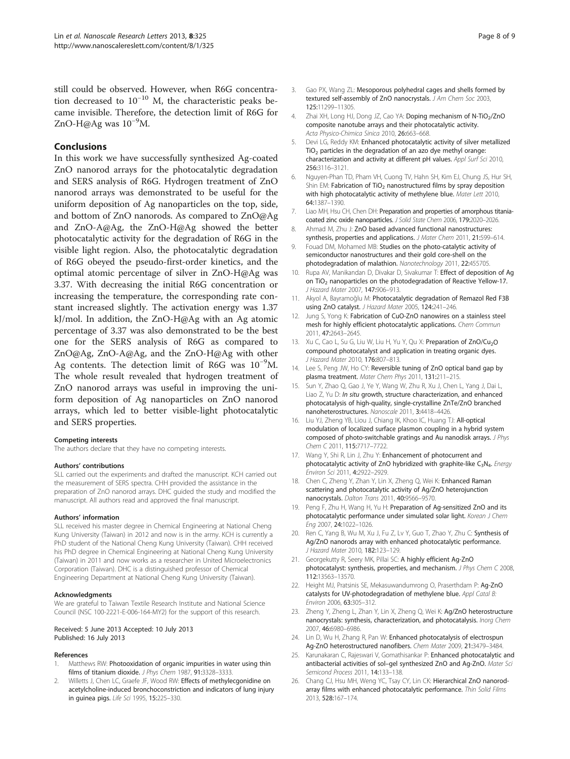<span id="page-7-0"></span>still could be observed. However, when R6G concentration decreased to  $10^{-10}$  M, the characteristic peaks became invisible. Therefore, the detection limit of R6G for ZnO-H@Ag was 10−<sup>9</sup> M.

#### Conclusions

In this work we have successfully synthesized Ag-coated ZnO nanorod arrays for the photocatalytic degradation and SERS analysis of R6G. Hydrogen treatment of ZnO nanorod arrays was demonstrated to be useful for the uniform deposition of Ag nanoparticles on the top, side, and bottom of ZnO nanorods. As compared to ZnO@Ag and ZnO-A@Ag, the ZnO-H@Ag showed the better photocatalytic activity for the degradation of R6G in the visible light region. Also, the photocatalytic degradation of R6G obeyed the pseudo-first-order kinetics, and the optimal atomic percentage of silver in ZnO-H@Ag was 3.37. With decreasing the initial R6G concentration or increasing the temperature, the corresponding rate constant increased slightly. The activation energy was 1.37 kJ/mol. In addition, the ZnO-H@Ag with an Ag atomic percentage of 3.37 was also demonstrated to be the best one for the SERS analysis of R6G as compared to ZnO@Ag, ZnO-A@Ag, and the ZnO-H@Ag with other Ag contents. The detection limit of R6G was 10<sup>-9</sup>M. The whole result revealed that hydrogen treatment of ZnO nanorod arrays was useful in improving the uniform deposition of Ag nanoparticles on ZnO nanorod arrays, which led to better visible-light photocatalytic and SERS properties.

#### Competing interests

The authors declare that they have no competing interests.

#### Authors' contributions

SLL carried out the experiments and drafted the manuscript. KCH carried out the measurement of SERS spectra. CHH provided the assistance in the preparation of ZnO nanorod arrays. DHC guided the study and modified the manuscript. All authors read and approved the final manuscript.

#### Authors' information

SLL received his master degree in Chemical Engineering at National Cheng Kung University (Taiwan) in 2012 and now is in the army. KCH is currently a PhD student of the National Cheng Kung University (Taiwan). CHH received his PhD degree in Chemical Engineering at National Cheng Kung University (Taiwan) in 2011 and now works as a researcher in United Microelectronics Corporation (Taiwan). DHC is a distinguished professor of Chemical Engineering Department at National Cheng Kung University (Taiwan).

#### Acknowledgments

We are grateful to Taiwan Textile Research Institute and National Science Council (NSC 100-2221-E-006-164-MY2) for the support of this research.

#### Received: 5 June 2013 Accepted: 10 July 2013 Published: 16 July 2013

#### References

- 1. Matthews RW: Photooxidation of organic impurities in water using thin films of titanium dioxide. J Phys Chem 1987, 91:3328–3333.
- Willetts J, Chen LC, Graefe JF, Wood RW: Effects of methylecgonidine on acetylcholine-induced bronchoconstriction and indicators of lung injury in guinea pigs. Life Sci 1995, 15:225–330.
- Gao PX, Wang ZL: Mesoporous polyhedral cages and shells formed by textured self-assembly of ZnO nanocrystals. J Am Chem Soc 2003, 125:11299–11305.
- 4. Zhai XH, Long HJ, Dong JZ, Cao YA: Doping mechanism of N-TiO<sub>2</sub>/ZnO composite nanotube arrays and their photocatalytic activity. Acta Physico-Chimica Sinica 2010, 26:663–668.
- 5. Devi LG, Reddy KM: Enhanced photocatalytic activity of silver metallized  $TiO<sub>2</sub>$  particles in the degradation of an azo dye methyl orange: characterization and activity at different pH values. Appl Surf Sci 2010, 256:3116–3121.
- 6. Nguyen-Phan TD, Pham VH, Cuong TV, Hahn SH, Kim EJ, Chung JS, Hur SH, Shin EM: Fabrication of TiO<sub>2</sub> nanostructured films by spray deposition with high photocatalytic activity of methylene blue. Mater Lett 2010, 64:1387–1390.
- 7. Liao MH, Hsu CH, Chen DH: Preparation and properties of amorphous titaniacoated zinc oxide nanoparticles. J Solid State Chem 2006, 179:2020–2026.
- 8. Ahmad M, Zhu J: ZnO based advanced functional nanostructures: synthesis, properties and applications. J Mater Chem 2011, 21:599-614.
- 9. Fouad DM, Mohamed MB: Studies on the photo-catalytic activity of semiconductor nanostructures and their gold core-shell on the photodegradation of malathion. Nanotechnology 2011, 22:455705.
- 10. Rupa AV, Manikandan D, Divakar D, Sivakumar T: Effect of deposition of Ag on TiO<sub>2</sub> nanoparticles on the photodegradation of Reactive Yellow-17. J Hazard Mater 2007, 147:906–913.
- 11. Akyol A, Bayramoğlu M: Photocatalytic degradation of Remazol Red F3B using ZnO catalyst. J Hazard Mater 2005, 124:241–246.
- 12. Jung S, Yong K: Fabrication of CuO-ZnO nanowires on a stainless steel mesh for highly efficient photocatalytic applications. Chem Commun 2011, 47:2643–2645.
- 13. Xu C, Cao L, Su G, Liu W, Liu H, Yu Y, Qu X: Preparation of ZnO/Cu<sub>2</sub>O compound photocatalyst and application in treating organic dyes. J Hazard Mater 2010, 176:807–813.
- 14. Lee S, Peng JW, Ho CY: Reversible tuning of ZnO optical band gap by plasma treatment. Mater Chem Phys 2011, 131:211–215.
- 15. Sun Y, Zhao Q, Gao J, Ye Y, Wang W, Zhu R, Xu J, Chen L, Yang J, Dai L, Liao Z, Yu D: In situ growth, structure characterization, and enhanced photocatalysis of high-quality, single-crystalline ZnTe/ZnO branched nanoheterostructures. Nanoscale 2011, 3:4418–4426.
- 16. Liu YJ, Zheng YB, Liou J, Chiang IK, Khoo IC, Huang TJ: All-optical modulation of localized surface plasmon coupling in a hybrid system composed of photo-switchable gratings and Au nanodisk arrays. J Phys Chem C 2011, 115:7717–7722.
- 17. Wang Y, Shi R, Lin J, Zhu Y: Enhancement of photocurrent and photocatalytic activity of ZnO hybridized with graphite-like  $C_3N_4$ . Energy Environ Sci 2011, 4:2922–2929.
- 18. Chen C, Zheng Y, Zhan Y, Lin X, Zheng Q, Wei K: Enhanced Raman scattering and photocatalytic activity of Ag/ZnO heterojunction nanocrystals. Dalton Trans 2011, 40:9566–9570.
- 19. Peng F, Zhu H, Wang H, Yu H: Preparation of Ag-sensitized ZnO and its photocatalytic performance under simulated solar light. Korean J Chem Eng 2007, 24:1022–1026.
- 20. Ren C, Yang B, Wu M, Xu J, Fu Z, Lv Y, Guo T, Zhao Y, Zhu C: Synthesis of Ag/ZnO nanorods array with enhanced photocatalytic performance. J Hazard Mater 2010, 182:123–129.
- 21. Georgekutty R, Seery MK, Pillai SC: A highly efficient Ag-ZnO photocatalyst: synthesis, properties, and mechanism. J Phys Chem C 2008, 112:13563–13570.
- 22. Height MJ, Pratsinis SE, Mekasuwandumrong O, Praserthdam P: Aq-ZnO catalysts for UV-photodegradation of methylene blue. Appl Catal B: Environ 2006, 63:305–312.
- 23. Zheng Y, Zheng L, Zhan Y, Lin X, Zheng Q, Wei K: Ag/ZnO heterostructure nanocrystals: synthesis, characterization, and photocatalysis. Inorg Chem 2007, 46:6980–6986.
- 24. Lin D, Wu H, Zhang R, Pan W: Enhanced photocatalysis of electrospun Ag-ZnO heterostructured nanofibers. Chem Mater 2009, 21:3479–3484.
- 25. Karunakaran C, Rajeswari V, Gomathisankar P: Enhanced photocatalytic and antibacterial activities of sol–gel synthesized ZnO and Ag-ZnO. Mater Sci Semicond Process 2011, 14:133–138.
- 26. Chang CJ, Hsu MH, Weng YC, Tsay CY, Lin CK: Hierarchical ZnO nanorodarray films with enhanced photocatalytic performance. Thin Solid Films 2013, 528:167–174.